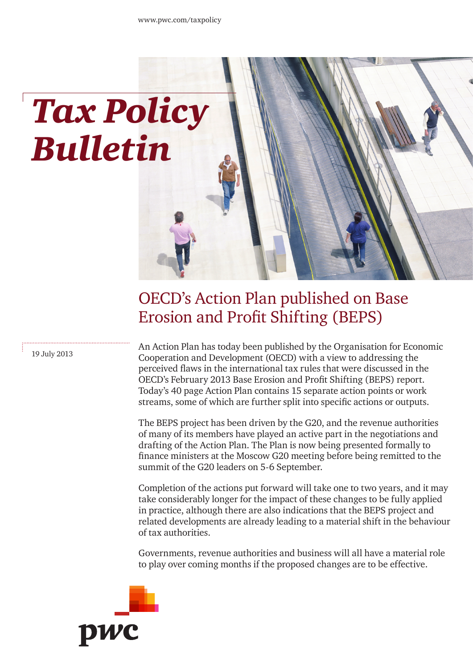# *Tax Policy Bulletin*

## OECD's Action Plan published on Base Erosion and Profit Shifting (BEPS)

19 July 2013

An Action Plan has today been published by the Organisation for Economic Cooperation and Development (OECD) with a view to addressing the perceived flaws in the international tax rules that were discussed in the OECD's February 2013 Base Erosion and Profit Shifting (BEPS) report. Today's 40 page Action Plan contains 15 separate action points or work streams, some of which are further split into specific actions or outputs.

The BEPS project has been driven by the G20, and the revenue authorities of many of its members have played an active part in the negotiations and drafting of the Action Plan. The Plan is now being presented formally to finance ministers at the Moscow G20 meeting before being remitted to the summit of the G20 leaders on 5-6 September.

Completion of the actions put forward will take one to two years, and it may take considerably longer for the impact of these changes to be fully applied in practice, although there are also indications that the BEPS project and related developments are already leading to a material shift in the behaviour of tax authorities.

Governments, revenue authorities and business will all have a material role to play over coming months if the proposed changes are to be effective.

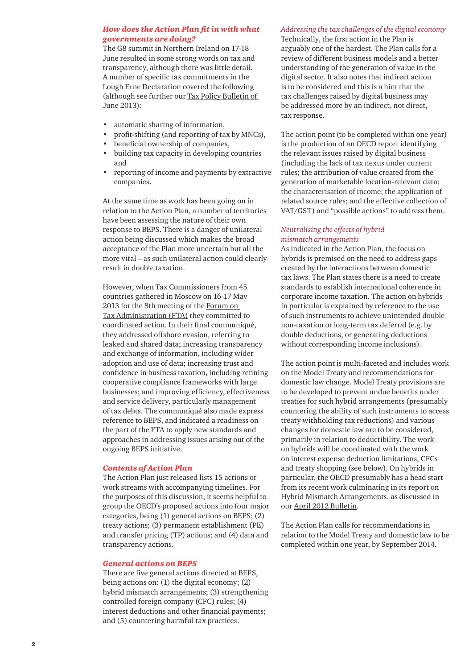#### *How does the Action Plan fit in with what governments are doing?*

The G8 summit in Northern Ireland on 17-18 June resulted in some strong words on tax and transparency, although there was little detail. A number of specific tax commitments in the Lough Erne Declaration covered the following (although see further our [Tax Policy Bulletin of](http://www.pwc.com/gx/en/tax/newsletters/tax-policy-bulletin/tax-transparency-following-g8-summit.jhtml)  June [2013\)](http://www.pwc.com/gx/en/tax/newsletters/tax-policy-bulletin/tax-transparency-following-g8-summit.jhtml):

- automatic sharing of information,
- profit-shifting (and reporting of tax by MNCs),
- beneficial ownership of companies,
- building tax capacity in developing countries and
- reporting of income and payments by extractive companies.

At the same time as work has been going on in relation to the Action Plan, a number of territories have been assessing the nature of their own response to BEPS. There is a danger of unilateral action being discussed which makes the broad acceptance of the Plan more uncertain but all the more vital – as such unilateral action could clearly result in double taxation.

However, when Tax Commissioners from 45 countries gathered in Moscow on 16-17 May 2013 for the 8th meeting of the [Forum on](http://www.oecd.org/site/ctpfta/)  [Tax Administration \(FTA\)](http://www.oecd.org/site/ctpfta/) they committed to coordinated action. In their final communiqué, they addressed offshore evasion, referring to leaked and shared data; increasing transparency and exchange of information, including wider adoption and use of data; increasing trust and confidence in business taxation, including refining cooperative compliance frameworks with large businesses; and improving efficiency, effectiveness and service delivery, particularly management of tax debts. The communiqué also made express reference to BEPS, and indicated a readiness on the part of the FTA to apply new standards and approaches in addressing issues arising out of the ongoing BEPS initiative.

#### *Contents of Action Plan*

The Action Plan just released lists 15 actions or work streams with accompanying timelines. For the purposes of this discussion, it seems helpful to group the OECD's proposed actions into four major categories, being (1) general actions on BEPS; (2) treaty actions; (3) permanent establishment (PE) and transfer pricing (TP) actions; and (4) data and transparency actions.

#### *General actions on BEPS*

There are five general actions directed at BEPS, being actions on: (1) the digital economy; (2) hybrid mismatch arrangements; (3) strengthening controlled foreign company (CFC) rules; (4) interest deductions and other financial payments; and (5) countering harmful tax practices.

#### *Addressing the tax challenges of the digital economy*

Technically, the first action in the Plan is arguably one of the hardest. The Plan calls for a review of different business models and a better understanding of the generation of value in the digital sector. It also notes that indirect action is to be considered and this is a hint that the tax challenges raised by digital business may be addressed more by an indirect, not direct, tax response.

The action point (to be completed within one year) is the production of an OECD report identifying the relevant issues raised by digital business (including the lack of tax nexus under current rules; the attribution of value created from the generation of marketable location-relevant data; the characterisation of income; the application of related source rules; and the effective collection of VAT/GST) and "possible actions" to address them.

#### *Neutralising the effects of hybrid mismatch arrangements*

As indicated in the Action Plan, the focus on hybrids is premised on the need to address gaps created by the interactions between domestic tax laws. The Plan states there is a need to create standards to establish international coherence in corporate income taxation. The action on hybrids in particular is explained by reference to the use of such instruments to achieve unintended double non-taxation or long-term tax deferral (e.g. by double deductions, or generating deductions without corresponding income inclusions).

The action point is multi-faceted and includes work on the Model Treaty and recommendations for domestic law change. Model Treaty provisions are to be developed to prevent undue benefits under treaties for such hybrid arrangements (presumably countering the ability of such instruments to access treaty withholding tax reductions) and various changes for domestic law are to be considered, primarily in relation to deductibility. The work on hybrids will be coordinated with the work on interest expense deduction limitations, CFCs and treaty shopping (see below). On hybrids in particular, the OECD presumably has a head start from its recent work culminating in its report on Hybrid Mismatch Arrangements, as discussed in our [April 2012](http://www.pwc.com/gx/en/tax/newsletters/tax-policy-bulletin/oecd-report-hybrid-mismatch-arrangements-tax-policy-compliance-issues.jhtml) Bulletin.

The Action Plan calls for recommendations in relation to the Model Treaty and domestic law to be completed within one year, by September 2014.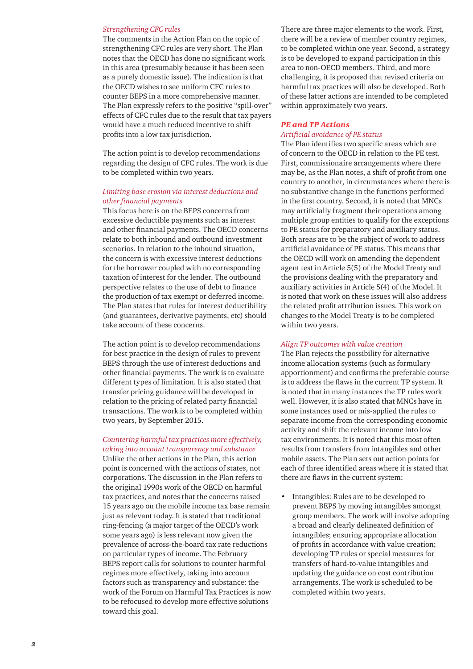#### *Strengthening CFC rules*

The comments in the Action Plan on the topic of strengthening CFC rules are very short. The Plan notes that the OECD has done no significant work in this area (presumably because it has been seen as a purely domestic issue). The indication is that the OECD wishes to see uniform CFC rules to counter BEPS in a more comprehensive manner. The Plan expressly refers to the positive "spill-over" effects of CFC rules due to the result that tax payers would have a much reduced incentive to shift profits into a low tax jurisdiction.

The action point is to develop recommendations regarding the design of CFC rules. The work is due to be completed within two years.

#### *Limiting base erosion via interest deductions and other financial payments*

This focus here is on the BEPS concerns from excessive deductible payments such as interest and other financial payments. The OECD concerns relate to both inbound and outbound investment scenarios. In relation to the inbound situation, the concern is with excessive interest deductions for the borrower coupled with no corresponding taxation of interest for the lender. The outbound perspective relates to the use of debt to finance the production of tax exempt or deferred income. The Plan states that rules for interest deductibility (and guarantees, derivative payments, etc) should take account of these concerns.

The action point is to develop recommendations for best practice in the design of rules to prevent BEPS through the use of interest deductions and other financial payments. The work is to evaluate different types of limitation. It is also stated that transfer pricing guidance will be developed in relation to the pricing of related party financial transactions. The work is to be completed within two years, by September 2015.

#### *Countering harmful tax practices more effectively, taking into account transparency and substance*

Unlike the other actions in the Plan, this action point is concerned with the actions of states, not corporations. The discussion in the Plan refers to the original 1990s work of the OECD on harmful tax practices, and notes that the concerns raised 15 years ago on the mobile income tax base remain just as relevant today. It is stated that traditional ring-fencing (a major target of the OECD's work some years ago) is less relevant now given the prevalence of across-the-board tax rate reductions on particular types of income. The February BEPS report calls for solutions to counter harmful regimes more effectively, taking into account factors such as transparency and substance: the work of the Forum on Harmful Tax Practices is now to be refocused to develop more effective solutions toward this goal.

There are three major elements to the work. First, there will be a review of member country regimes, to be completed within one year. Second, a strategy is to be developed to expand participation in this area to non-OECD members. Third, and more challenging, it is proposed that revised criteria on harmful tax practices will also be developed. Both of these latter actions are intended to be completed within approximately two years.

## *PE and TP Actions*

#### *Artificial avoidance of PE status*

The Plan identifies two specific areas which are of concern to the OECD in relation to the PE test. First, commissionaire arrangements where there may be, as the Plan notes, a shift of profit from one country to another, in circumstances where there is no substantive change in the functions performed in the first country. Second, it is noted that MNCs may artificially fragment their operations among multiple group entities to qualify for the exceptions to PE status for preparatory and auxiliary status. Both areas are to be the subject of work to address artificial avoidance of PE status. This means that the OECD will work on amending the dependent agent test in Article 5(5) of the Model Treaty and the provisions dealing with the preparatory and auxiliary activities in Article 5(4) of the Model. It is noted that work on these issues will also address the related profit attribution issues. This work on changes to the Model Treaty is to be completed within two years.

#### *Align TP outcomes with value creation*

The Plan rejects the possibility for alternative income allocation systems (such as formulary apportionment) and confirms the preferable course is to address the flaws in the current TP system. It is noted that in many instances the TP rules work well. However, it is also stated that MNCs have in some instances used or mis-applied the rules to separate income from the corresponding economic activity and shift the relevant income into low tax environments. It is noted that this most often results from transfers from intangibles and other mobile assets. The Plan sets out action points for each of three identified areas where it is stated that there are flaws in the current system:

• Intangibles: Rules are to be developed to prevent BEPS by moving intangibles amongst group members. The work will involve adopting a broad and clearly delineated definition of intangibles; ensuring appropriate allocation of profits in accordance with value creation; developing TP rules or special measures for transfers of hard-to-value intangibles and updating the guidance on cost contribution arrangements. The work is scheduled to be completed within two years.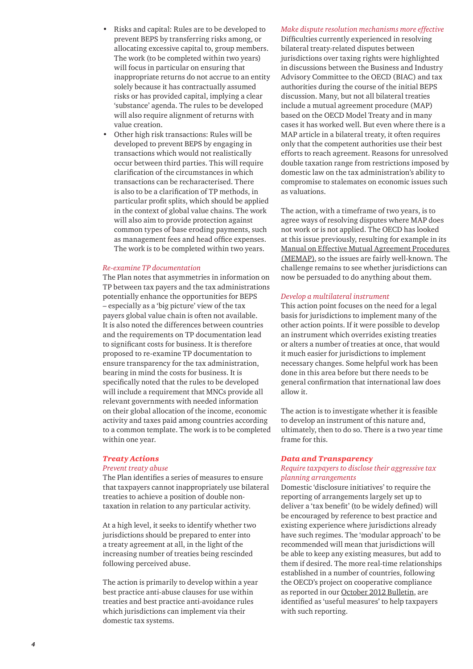- Risks and capital: Rules are to be developed to prevent BEPS by transferring risks among, or allocating excessive capital to, group members. The work (to be completed within two years) will focus in particular on ensuring that inappropriate returns do not accrue to an entity solely because it has contractually assumed risks or has provided capital, implying a clear 'substance' agenda. The rules to be developed will also require alignment of returns with value creation.
- Other high risk transactions: Rules will be developed to prevent BEPS by engaging in transactions which would not realistically occur between third parties. This will require clarification of the circumstances in which transactions can be recharacterised. There is also to be a clarification of TP methods, in particular profit splits, which should be applied in the context of global value chains. The work will also aim to provide protection against common types of base eroding payments, such as management fees and head office expenses. The work is to be completed within two years.

#### *Re-examine TP documentation*

The Plan notes that asymmetries in information on TP between tax payers and the tax administrations potentially enhance the opportunities for BEPS – especially as a 'big picture' view of the tax payers global value chain is often not available. It is also noted the differences between countries and the requirements on TP documentation lead to significant costs for business. It is therefore proposed to re-examine TP documentation to ensure transparency for the tax administration, bearing in mind the costs for business. It is specifically noted that the rules to be developed will include a requirement that MNCs provide all relevant governments with needed information on their global allocation of the income, economic activity and taxes paid among countries according to a common template. The work is to be completed within one year.

#### *Treaty Actions*

#### *Prevent treaty abuse*

The Plan identifies a series of measures to ensure that taxpayers cannot inappropriately use bilateral treaties to achieve a position of double nontaxation in relation to any particular activity.

At a high level, it seeks to identify whether two jurisdictions should be prepared to enter into a treaty agreement at all, in the light of the increasing number of treaties being rescinded following perceived abuse.

The action is primarily to develop within a year best practice anti-abuse clauses for use within treaties and best practice anti-avoidance rules which jurisdictions can implement via their domestic tax systems.

#### *Make dispute resolution mechanisms more effective*

Difficulties currently experienced in resolving bilateral treaty-related disputes between jurisdictions over taxing rights were highlighted in discussions between the Business and Industry Advisory Committee to the OECD (BIAC) and tax authorities during the course of the initial BEPS discussion. Many, but not all bilateral treaties include a mutual agreement procedure (MAP) based on the OECD Model Treaty and in many cases it has worked well. But even where there is a MAP article in a bilateral treaty, it often requires only that the competent authorities use their best efforts to reach agreement. Reasons for unresolved double taxation range from restrictions imposed by domestic law on the tax administration's ability to compromise to stalemates on economic issues such as valuations.

The action, with a timeframe of two years, is to agree ways of resolving disputes where MAP does not work or is not applied. The OECD has looked at this issue previously, resulting for example in its [Manual on Effective Mutual Agreement Procedures](http://www.oecd.org/ctp/38061910.pdf)  [\(MEMAP\),](http://www.oecd.org/ctp/38061910.pdf) so the issues are fairly well-known. The challenge remains to see whether jurisdictions can now be persuaded to do anything about them.

#### *Develop a multilateral instrument*

This action point focuses on the need for a legal basis for jurisdictions to implement many of the other action points. If it were possible to develop an instrument which overrides existing treaties or alters a number of treaties at once, that would it much easier for jurisdictions to implement necessary changes. Some helpful work has been done in this area before but there needs to be general confirmation that international law does allow it.

The action is to investigate whether it is feasible to develop an instrument of this nature and, ultimately, then to do so. There is a two year time frame for this.

#### *Data and Transparency*

#### *Require taxpayers to disclose their aggressive tax planning arrangements*

Domestic 'disclosure initiatives' to require the reporting of arrangements largely set up to deliver a 'tax benefit' (to be widely defined) will be encouraged by reference to best practice and existing experience where jurisdictions already have such regimes. The 'modular approach' to be recommended will mean that jurisdictions will be able to keep any existing measures, but add to them if desired. The more real-time relationships established in a number of countries, following the OECD's project on cooperative compliance as reported in our [October 2012 Bulletin](http://www.pwc.com/gx/en/tax/newsletters/tax-policy-bulletin/update-oecd-tax-projects.jhtml), are identified as 'useful measures' to help taxpayers with such reporting.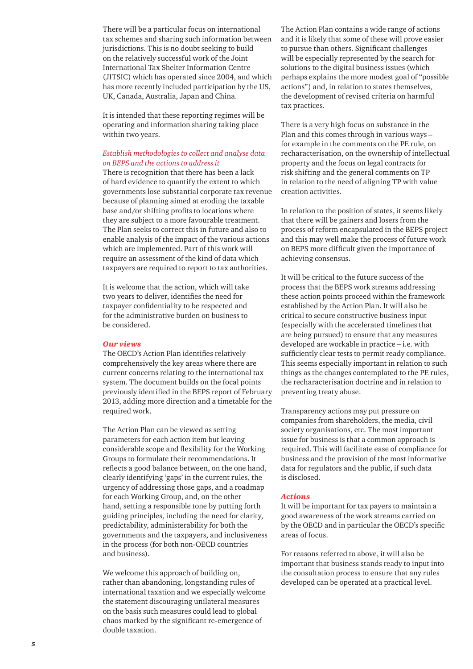There will be a particular focus on international tax schemes and sharing such information between jurisdictions. This is no doubt seeking to build on the relatively successful work of the Joint International Tax Shelter Information Centre (JITSIC) which has operated since 2004, and which has more recently included participation by the US, UK, Canada, Australia, Japan and China.

It is intended that these reporting regimes will be operating and information sharing taking place within two years.

#### *Establish methodologies to collect and analyse data on BEPS and the actions to address it*

There is recognition that there has been a lack of hard evidence to quantify the extent to which governments lose substantial corporate tax revenue because of planning aimed at eroding the taxable base and/or shifting profits to locations where they are subject to a more favourable treatment. The Plan seeks to correct this in future and also to enable analysis of the impact of the various actions which are implemented. Part of this work will require an assessment of the kind of data which taxpayers are required to report to tax authorities.

It is welcome that the action, which will take two years to deliver, identifies the need for taxpayer confidentiality to be respected and for the administrative burden on business to be considered.

#### *Our views*

The OECD's Action Plan identifies relatively comprehensively the key areas where there are current concerns relating to the international tax system. The document builds on the focal points previously identified in the BEPS report of February 2013, adding more direction and a timetable for the required work.

The Action Plan can be viewed as setting parameters for each action item but leaving considerable scope and flexibility for the Working Groups to formulate their recommendations. It reflects a good balance between, on the one hand, clearly identifying 'gaps' in the current rules, the urgency of addressing those gaps, and a roadmap for each Working Group, and, on the other hand, setting a responsible tone by putting forth guiding principles, including the need for clarity, predictability, administerability for both the governments and the taxpayers, and inclusiveness in the process (for both non-OECD countries and business).

We welcome this approach of building on, rather than abandoning, longstanding rules of international taxation and we especially welcome the statement discouraging unilateral measures on the basis such measures could lead to global chaos marked by the significant re-emergence of double taxation.

The Action Plan contains a wide range of actions and it is likely that some of these will prove easier to pursue than others. Significant challenges will be especially represented by the search for solutions to the digital business issues (which perhaps explains the more modest goal of "possible actions") and, in relation to states themselves, the development of revised criteria on harmful tax practices.

There is a very high focus on substance in the Plan and this comes through in various ways – for example in the comments on the PE rule, on recharacterisation, on the ownership of intellectual property and the focus on legal contracts for risk shifting and the general comments on TP in relation to the need of aligning TP with value creation activities.

In relation to the position of states, it seems likely that there will be gainers and losers from the process of reform encapsulated in the BEPS project and this may well make the process of future work on BEPS more difficult given the importance of achieving consensus.

It will be critical to the future success of the process that the BEPS work streams addressing these action points proceed within the framework established by the Action Plan. It will also be critical to secure constructive business input (especially with the accelerated timelines that are being pursued) to ensure that any measures developed are workable in practice – i.e. with sufficiently clear tests to permit ready compliance. This seems especially important in relation to such things as the changes contemplated to the PE rules, the recharacterisation doctrine and in relation to preventing treaty abuse.

Transparency actions may put pressure on companies from shareholders, the media, civil society organisations, etc. The most important issue for business is that a common approach is required. This will facilitate ease of compliance for business and the provision of the most informative data for regulators and the public, if such data is disclosed.

#### *Actions*

It will be important for tax payers to maintain a good awareness of the work streams carried on by the OECD and in particular the OECD's specific areas of focus.

For reasons referred to above, it will also be important that business stands ready to input into the consultation process to ensure that any rules developed can be operated at a practical level.